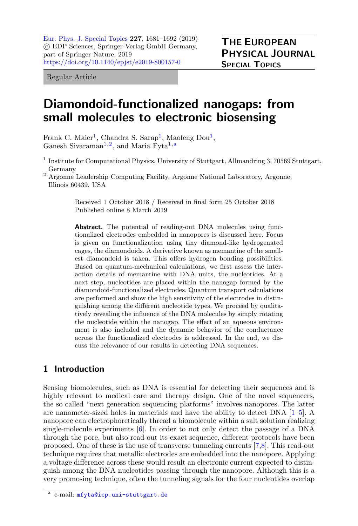[Eur. Phys. J. Special Topics](https://epjst.epj.org) 227, 1681–1692 (2019) c EDP Sciences, Springer-Verlag GmbH Germany, part of Springer Nature, 2019 <https://doi.org/10.1140/epjst/e2019-800157-0>

Regular Article

# Diamondoid-functionalized nanogaps: from small molecules to electronic biosensing

Frank C. Maier<sup>[1](#page-0-0)</sup>, Chandra S. Sarap<sup>1</sup>, Maofeng Dou<sup>1</sup>, Ganesh Sivaraman<sup>[1](#page-0-0),[2](#page-0-1)</sup>, [a](#page-0-2)nd Maria Fyta<sup>1,a</sup>

- <span id="page-0-0"></span><sup>1</sup> Institute for Computational Physics, University of Stuttgart, Allmandring 3, 70569 Stuttgart, Germany
- <span id="page-0-1"></span><sup>2</sup> Argonne Leadership Computing Facility, Argonne National Laboratory, Argonne, Illinois 60439, USA

Received 1 October 2018 / Received in final form 25 October 2018 Published online 8 March 2019

Abstract. The potential of reading-out DNA molecules using functionalized electrodes embedded in nanopores is discussed here. Focus is given on functionalization using tiny diamond-like hydrogenated cages, the diamondoids. A derivative known as memantine of the smallest diamondoid is taken. This offers hydrogen bonding possibilities. Based on quantum-mechanical calculations, we first assess the interaction details of memantine with DNA units, the nucleotides. At a next step, nucleotides are placed within the nanogap formed by the diamondoid-functionalized electrodes. Quantum transport calculations are performed and show the high sensitivity of the electrodes in distinguishing among the different nucleotide types. We proceed by qualitatively revealing the influence of the DNA molecules by simply rotating the nucleotide within the nanogap. The effect of an aqueous environment is also included and the dynamic behavior of the conductance across the functionalized electrodes is addressed. In the end, we discuss the relevance of our results in detecting DNA sequences.

## 1 Introduction

Sensing biomolecules, such as DNA is essential for detecting their sequences and is highly relevant to medical care and therapy design. One of the novel sequencers, the so called "next generation sequencing platforms" involves nanopores. The latter are nanometer-sized holes in materials and have the ability to detect DNA [\[1](#page-10-0)[–5\]](#page-10-1). A nanopore can electrophoretically thread a biomolecule within a salt solution realizing single-molecule experiments  $[6]$ . In order to not only detect the passage of a DNA through the pore, but also read-out its exact sequence, different protocols have been proposed. One of these is the use of transverse tunneling currents [\[7,](#page-10-3)[8\]](#page-10-4). This read-out technique requires that metallic electrodes are embedded into the nanopore. Applying a voltage difference across these would result an electronic current expected to distinguish among the DNA nucleotides passing through the nanopore. Although this is a very promosing technique, often the tunneling signals for the four nucleotides overlap

<span id="page-0-2"></span>a e-mail: [mfyta@icp.uni-stuttgart.de](mailto:mfyta@icp.uni-stuttgart.de)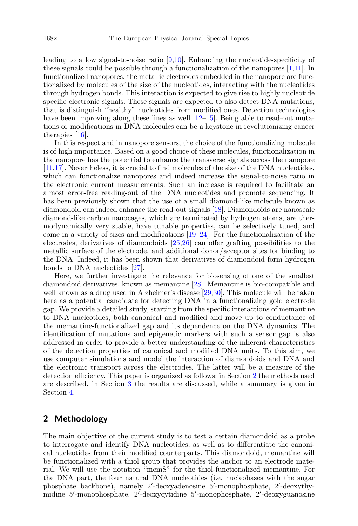leading to a low signal-to-noise ratio [\[9,](#page-10-5)[10\]](#page-10-6). Enhancing the nucleotide-specificity of these signals could be possible through a functionalization of the nanopores  $[1,11]$  $[1,11]$ . In functionalized nanopores, the metallic electrodes embedded in the nanopore are functionalized by molecules of the size of the nucleotides, interacting with the nucleotides through hydrogen bonds. This interaction is expected to give rise to highly nucleotide specific electronic signals. These signals are expected to also detect DNA mutations, that is distinguish "healthy" nucleotides from modified ones. Detection technologies have been improving along these lines as well  $[12–15]$  $[12–15]$ . Being able to read-out mutations or modifications in DNA molecules can be a keystone in revolutionizing cancer therapies [\[16\]](#page-10-10).

In this respect and in nanopore sensors, the choice of the functionalizing molecule is of high importance. Based on a good choice of these molecules, functionalization in the nanopore has the potential to enhance the transverse signals across the nanopore [\[11,](#page-10-7)[17\]](#page-10-11). Nevertheless, it is crucial to find molecules of the size of the DNA nucleotides, which can functionalize nanopores and indeed increase the signal-to-noise ratio in the electronic current measurements. Such an increase is required to facilitate an almost error-free reading-out of the DNA nucleotides and promote sequencing. It has been previously shown that the use of a small diamond-like molecule known as diamondoid can indeed enhance the read-out signals [\[18\]](#page-10-12). Diamondoids are nanoscale diamond-like carbon nanocages, which are terminated by hydrogen atoms, are thermodynamically very stable, have tunable properties, can be selectively tuned, and come in a variety of sizes and modifications [\[19–](#page-10-13)[24\]](#page-11-0). For the functionalization of the electrodes, derivatives of diamondoids [\[25,](#page-11-1)[26\]](#page-11-2) can offer grafting possibilities to the metallic surface of the electrode, and additional donor/acceptor sites for binding to the DNA. Indeed, it has been shown that derivatives of diamondoid form hydrogen bonds to DNA nucleotides [\[27\]](#page-11-3).

Here, we further investigate the relevance for biosensing of one of the smallest diamondoid derivatives, known as memantine [\[28\]](#page-11-4). Memantine is bio-compatible and well known as a drug used in Alzheimer's disease [\[29,](#page-11-5)[30\]](#page-11-6). This molecule will be taken here as a potential candidate for detecting DNA in a functionalizing gold electrode gap. We provide a detailed study, starting from the specific interactions of memantine to DNA nucleotides, both canonical and modified and move up to conductance of the memantine-functionalized gap and its dependence on the DNA dynamics. The identification of mutations and epigenetic markers with such a sensor gap is also addressed in order to provide a better understanding of the inherent characteristics of the detection properties of canonical and modified DNA units. To this aim, we use computer simulations and model the interaction of diamondoids and DNA and the electronic transport across the electrodes. The latter will be a measure of the detection efficiency. This paper is organized as follows: in Section [2](#page-1-0) the methods used are described, in Section [3](#page-4-0) the results are discussed, while a summary is given in Section [4.](#page-9-0)

## <span id="page-1-0"></span>2 Methodology

The main objective of the current study is to test a certain diamondoid as a probe to interrogate and identify DNA nucleotides, as well as to differentiate the canonical nucleotides from their modified counterparts. This diamondoid, memantine will be functionalized with a thiol group that provides the anchor to an electrode material. We will use the notation "memS" for the thiol-functionalized memantine. For the DNA part, the four natural DNA nucleotides (i.e. nucleobases with the sugar phosphate backbone), namely 2'-deoxyadenosine 5'-monophosphate, 2'-deoxythymidine 5'-monophosphate, 2'-deoxycytidine 5'-monophosphate, 2'-deoxyguanosine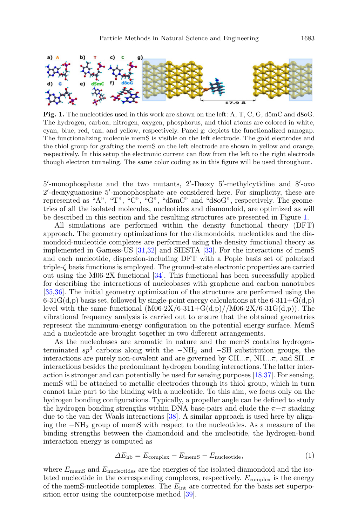

<span id="page-2-0"></span>Fig. 1. The nucleotides used in this work are shown on the left: A, T, C, G, d5mC and d8oG. The hydrogen, carbon, nitrogen, oxygen, phosphorus, and thiol atoms are colored in white, cyan, blue, red, tan, and yellow, respectively. Panel g: depicts the functionalized nanogap. The functionalizing molecule memS is visible on the left electrode. The gold electrodes and the thiol group for grafting the memS on the left electrode are shown in yellow and orange, respectively. In this setup the electronic current can flow from the left to the right electrode though electron tunneling. The same color coding as in this figure will be used throughout.

5'-monophosphate and the two mutants, 2'-Deoxy 5'-methylcytidine and 8'-oxo 2'-deoxyguanosine 5'-monophosphate are considered here. For simplicity, these are represented as "A", "T", "C", "G", "d5mC" and "d8oG", respectively. The geometries of all the isolated molecules, nucleotides and diamondoid, are optimized as will be described in this section and the resulting structures are presented in Figure [1.](#page-2-0)

All simulations are performed within the density functional theory (DFT) approach. The geometry optimizations for the diamondoids, nucleotides and the diamondoid-nucleotide complexes are performed using the density functional theory as implemented in Gamess-US [\[31,](#page-11-7)[32\]](#page-11-8) and SIESTA [\[33\]](#page-11-9). For the interactions of memS and each nucleotide, dispersion-including DFT with a Pople basis set of polarized triple- $\zeta$  basis functions is employed. The ground-state electronic properties are carried out using the M06-2X functional [\[34\]](#page-11-10). This functional has been successfully applied for describing the interactions of nucleobases with graphene and carbon nanotubes [\[35,](#page-11-11)[36\]](#page-11-12). The initial geometry optimization of the structures are performed using the 6-31 $G(d,p)$  basis set, followed by single-point energy calculations at the 6-311+ $G(d,p)$ level with the same functional  $(M06-2X/6-311+G(d,p)/M06-2X/6-31G(d,p))$ . The vibrational frequency analysis is carried out to ensure that the obtained geometries represent the minimum-energy configuration on the potential energy surface. MemS and a nucleotide are brought together in two different arrangements.

As the nucleobases are aromatic in nature and the memS contains hydrogenterminated  $sp^3$  carbons along with the  $-NH_2$  and  $-SH$  substitution groups, the interactions are purely non-covalent and are governed by  $\text{CH} \dots \pi$ ,  $\text{NH} \dots \pi$ , and  $\text{SH} \dots \pi$ interactions besides the predominant hydrogen bonding interactions. The latter interaction is stronger and can potentially be used for sensing purposes [\[18,](#page-10-12)[37\]](#page-11-13). For sensing, memS will be attached to metallic electrodes through its thiol group, which in turn cannot take part to the binding with a nucleotide. To this aim, we focus only on the hydrogen bonding configurations. Typically, a propeller angle can be defined to study the hydrogen bonding strengths within DNA base-pairs and elude the  $\pi - \pi$  stacking due to the van der Waals interactions [\[38\]](#page-11-14). A similar approach is used here by aligning the  $-NH<sub>2</sub>$  group of memS with respect to the nucleotides. As a measure of the binding strengths between the diamondoid and the nucleotide, the hydrogen-bond interaction energy is computed as

$$
\Delta E_{\rm hb} = E_{\rm complex} - E_{\rm memS} - E_{\rm nucleotide},\tag{1}
$$

where  $E_{\text{mems}}$  and  $E_{\text{nucleotides}}$  are the energies of the isolated diamondoid and the isolated nucleotide in the corresponding complexes, respectively.  $E_{\text{complex}}$  is the energy of the memS-nucleotide complexes. The  $E_{int}$  are corrected for the basis set superpo-sition error using the counterpoise method [\[39\]](#page-11-15).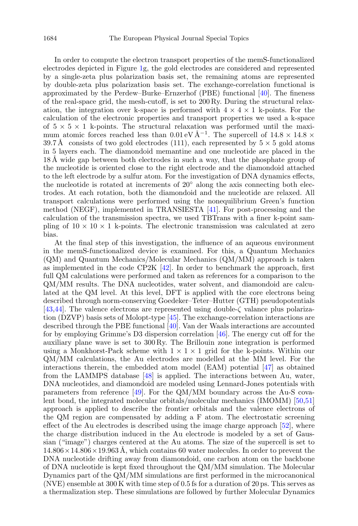In order to compute the electron transport properties of the memS-functionalized electrodes depicted in Figure [1g](#page-2-0), the gold electrodes are considered and represented by a single-zeta plus polarization basis set, the remaining atoms are represented by double-zeta plus polarization basis set. The exchange-correlation functional is approximated by the Perdew–Burke–Ernzerhof (PBE) functional [\[40\]](#page-11-16). The fineness of the real-space grid, the mesh-cutoff, is set to 200 Ry. During the structural relaxation, the integration over k-space is performed with  $4 \times 4 \times 1$  k-points. For the calculation of the electronic properties and transport properties we used a k-space of  $5 \times 5 \times 1$  k-points. The structural relaxation was performed until the maximum atomic forces reached less than  $0.01 \text{ eV} \text{ Å}^{-1}$ . The supercell of  $14.8 \times 14.8 \times$ 39.7 Å consists of two gold electrodes (111), each represented by  $5 \times 5$  gold atoms in 5 layers each. The diamondoid memantine and one nucleotide are placed in the 18 Å wide gap between both electrodes in such a way, that the phosphate group of the nucleotide is oriented close to the right electrode and the diamondoid attached to the left electrode by a sulfur atom. For the investigation of DNA dynamics effects, the nucleotide is rotated at increments of  $20°$  along the axis connecting both electrodes. At each rotation, both the diamondoid and the nucleotide are relaxed. All transport calculations were performed using the nonequilibrium Green's function method (NEGF), implemented in TRANSIESTA [\[41\]](#page-11-17). For post-processing and the calculation of the transmission spectra, we used TBTrans with a finer k-point sampling of  $10 \times 10 \times 1$  k-points. The electronic transmission was calculated at zero bias.

At the final step of this investigation, the influence of an aqueous environment in the memS-functionalized device is examined. For this, a Quantum Mechanics (QM) and Quantum Mechanics/Molecular Mechanics (QM/MM) approach is taken as implemented in the code  $CP2K$  [\[42\]](#page-11-18). In order to benchmark the approach, first full QM calculations were performed and taken as references for a comparison to the QM/MM results. The DNA nucleotides, water solvent, and diamondoid are calculated at the QM level. At this level, DFT is applied with the core electrons being described through norm-conserving Goedeker–Teter–Hutter (GTH) pseudopotentials [\[43,](#page-11-19)[44\]](#page-11-20). The valence electrons are represented using double- $\zeta$  valance plus polarization (DZVP) basis sets of Molopt-type [\[45\]](#page-11-21). The exchange-correlation interactions are described through the PBE functional [\[40\]](#page-11-16). Van der Waals interactions are accounted for by employing Grimme's D3 dispersion correlation [\[46\]](#page-11-22). The energy cut off for the auxiliary plane wave is set to 300 Ry. The Brillouin zone integration is performed using a Monkhorst-Pack scheme with  $1 \times 1 \times 1$  grid for the k-points. Within our QM/MM calculations, the Au electrodes are modelled at the MM level. For the interactions therein, the embedded atom model (EAM) potential [\[47\]](#page-11-23) as obtained from the LAMMPS database [\[48\]](#page-11-24) is applied. The interactions between Au, water, DNA nucleotides, and diamondoid are modeled using Lennard-Jones potentials with parameters from reference [\[49\]](#page-11-25). For the QM/MM boundary across the Au-S covalent bond, the integrated molecular orbitals/molecular mechanics (IMOMM) [\[50](#page-11-26)[,51\]](#page-11-27) approach is applied to describe the frontier orbitals and the valence electrons of the QM region are compensated by adding a F atom. The electrostatic screening effect of the Au electrodes is described using the image charge approach [\[52\]](#page-11-28), where the charge distribution induced in the Au electrode is modeled by a set of Gaussian ("image") charges centered at the Au atoms. The size of the supercell is set to  $14.806 \times 14.806 \times 19.963$  Å, which contains 60 water molecules. In order to prevent the DNA nucleotide drifting away from diamondoid, one carbon atom on the backbone of DNA nucleotide is kept fixed throughout the QM/MM simulation. The Molecular Dynamics part of the QM/MM simulations are first performed in the microcanonical (NVE) ensemble at  $300 \text{ K}$  with time step of 0.5 fs for a duration of 20 ps. This serves as a thermalization step. These simulations are followed by further Molecular Dynamics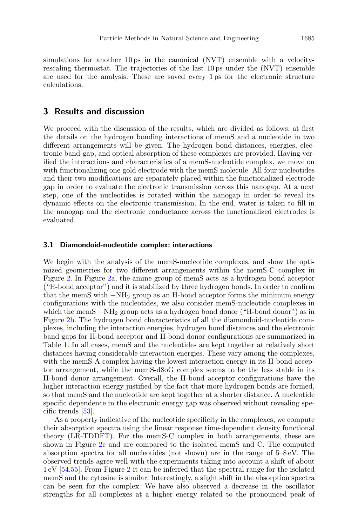simulations for another 10 ps in the canonical (NVT) ensemble with a velocityrescaling thermostat. The trajectories of the last 10 ps under the (NVT) ensemble are used for the analysis. These are saved every 1 ps for the electronic structure calculations.

## <span id="page-4-0"></span>3 Results and discussion

We proceed with the discussion of the results, which are divided as follows: at first the details on the hydrogen bonding interactions of memS and a nucleotide in two different arrangements will be given. The hydrogen bond distances, energies, electronic band-gap, and optical absorption of these complexes are provided. Having verified the interactions and characteristics of a memS-nucleotide complex, we move on with functionalizing one gold electrode with the memS molecule. All four nucleotides and their two modifications are separately placed within the functionalized electrode gap in order to evaluate the electronic transmission across this nanogap. At a next step, one of the nucleotides is rotated within the nanogap in order to reveal its dynamic effects on the electronic transmission. In the end, water is taken to fill in the nanogap and the electronic conductance across the functionalized electrodes is evaluated.

#### 3.1 Diamondoid-nucleotide complex: interactions

We begin with the analysis of the memS-nucleotide complexes, and show the optimized geometries for two different arrangements within the memS-C complex in Figure [2.](#page-5-0) In Figure [2a](#page-5-0), the amine group of memS acts as a hydrogen bond acceptor ("H-bond acceptor") and it is stabilized by three hydrogen bonds. In order to confirm that the memS with  $-NH<sub>2</sub>$  group as an H-bond acceptor forms the minimum energy configurations with the nucleotides, we also consider memS-nucleotide complexes in which the memS  $-NH<sub>2</sub>$  group acts as a hydrogen bond donor ("H-bond donor") as in Figure [2b](#page-5-0). The hydrogen bond characteristics of all the diamondoid-nucleotide complexes, including the interaction energies, hydrogen bond distances and the electronic band gaps for H-bond acceptor and H-bond donor configurations are summarized in Table [1.](#page-5-1) In all cases, memS and the nucleotides are kept together at relatively short distances having considerable interaction energies. These vary among the complexes, with the memS-A complex having the lowest interaction energy in its H-bond acceptor arrangement, while the memS-d8oG complex seems to be the less stable in its H-bond donor arrangement. Overall, the H-bond acceptor configurations have the higher interaction energy justified by the fact that more hydrogen bonds are formed, so that memS and the nucleotide are kept together at a shorter distance. A nucleotide specific dependence in the electronic energy gap was observed without revealing specific trends [\[53\]](#page-11-29).

As a property indicative of the nucleotide specificity in the complexes, we compute their absorption spectra using the linear response time-dependent density functional theory (LR-TDDFT). For the memS-C complex in both arrangements, these are shown in Figure [2c](#page-5-0) and are compared to the isolated memS and C. The computed absorption spectra for all nucleotides (not shown) are in the range of 5–8 eV. The observed trends agree well with the experiments taking into account a shift of about 1 eV [\[54,](#page-11-30)[55\]](#page-11-31). From Figure [2](#page-5-0) it can be inferred that the spectral range for the isolated memS and the cytosine is similar. Interestingly, a slight shift in the absorption spectra can be seen for the complex. We have also observed a decrease in the oscillator strengths for all complexes at a higher energy related to the pronounced peak of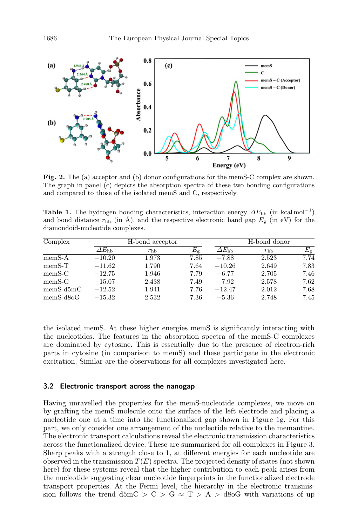

<span id="page-5-0"></span>Fig. 2. The (a) acceptor and (b) donor configurations for the memS-C complex are shown. The graph in panel (c) depicts the absorption spectra of these two bonding configurations and compared to those of the isolated memS and C, respectively.

<span id="page-5-1"></span>**Table 1.** The hydrogen bonding characteristics, interaction energy  $\Delta E_{\text{hb}}$  (in kcal mol<sup>-1</sup>) and bond distance  $r_{\text{hb}}$  (in Å), and the respective electronic band gap  $E_{\text{g}}$  (in eV) for the diamondoid-nucleotide complexes.

| Complex           | H-bond acceptor           |              |             | H-bond donor              |              |             |
|-------------------|---------------------------|--------------|-------------|---------------------------|--------------|-------------|
|                   | $\varDelta E_{\text{hh}}$ | $r_{\rm hb}$ | $E_{\rm g}$ | $\varDelta E_{\text{hh}}$ | $r_{\rm hb}$ | $E_{\rm g}$ |
| $\mathrm{memS-A}$ | $-10.20$                  | 1.973        | 7.85        | $-7.88$                   | 2.523        | 7.74        |
| $\mathrm{memS-T}$ | $-11.62$                  | 1.790        | 7.64        | $-10.26$                  | 2.649        | 7.83        |
| $\mathrm{memS-C}$ | $-12.75$                  | 1.946        | 7.79        | $-6.77$                   | 2.705        | 7.46        |
| $\mathrm{memS-G}$ | $-15.07$                  | 2.438        | 7.49        | $-7.92$                   | 2.578        | 7.62        |
| $memS-d5mC$       | $-12.52$                  | 1.941        | 7.76        | $-12.47$                  | 2.012        | 7.68        |
| $memS- d8oG$      | $-15.32$                  | 2.532        | 7.36        | $-5.36$                   | 2.748        | 7.45        |

the isolated memS. At these higher energies memS is significantly interacting with the nucleotides. The features in the absorption spectra of the memS-C complexes are dominated by cytosine. This is essentially due to the presence of electron-rich parts in cytosine (in comparison to memS) and these participate in the electronic excitation. Similar are the observations for all complexes investigated here.

#### 3.2 Electronic transport across the nanogap

Having unravelled the properties for the memS-nucleotide complexes, we move on by grafting the memS molecule onto the surface of the left electrode and placing a nucleotide one at a time into the functionalized gap shown in Figure [1g](#page-2-0). For this part, we only consider one arrangement of the nucleotide relative to the memantine. The electronic transport calculations reveal the electronic transmission characteristics across the functionalized device. These are summarized for all complexes in Figure [3.](#page-6-0) Sharp peaks with a strength close to 1, at different energies for each nucleotide are observed in the transmission  $T(E)$  spectra. The projected density of states (not shown here) for these systems reveal that the higher contribution to each peak arises from the nucleotide suggesting clear nucleotide fingerprints in the functionalized electrode transport properties. At the Fermi level, the hierarchy in the electronic transmission follows the trend d5mC > C > G  $\approx$  T > A > d8oG with variations of up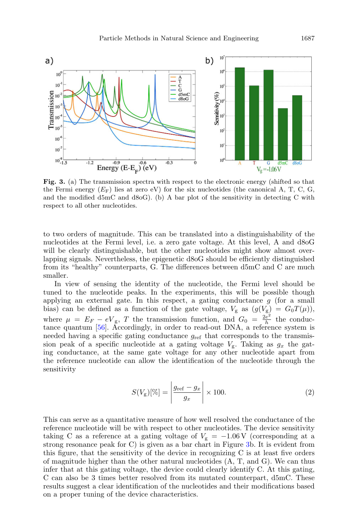

<span id="page-6-0"></span>Fig. 3. (a) The transmission spectra with respect to the electronic energy (shifted so that the Fermi energy  $(E_F)$  lies at zero eV) for the six nucleotides (the canonical A, T, C, G, and the modified d5mC and  $d8oG$ . (b) A bar plot of the sensitivity in detecting C with respect to all other nucleotides.

to two orders of magnitude. This can be translated into a distinguishability of the nucleotides at the Fermi level, i.e. a zero gate voltage. At this level, A and d8oG will be clearly distinguishable, but the other nucleotides might show almost overlapping signals. Nevertheless, the epigenetic d8oG should be efficiently distinguished from its "healthy" counterparts, G. The differences between d5mC and C are much smaller.

In view of sensing the identity of the nucleotide, the Fermi level should be tuned to the nucleotide peaks. In the experiments, this will be possible though applying an external gate. In this respect, a gating conductance  $g$  (for a small bias) can be defined as a function of the gate voltage,  $V_g$  as  $(g(V_g) = G_0T(\mu))$ , where  $\mu = E_F - eV_g$ , T the transmission function, and  $G_0 = \frac{2e^2}{h}$  $\frac{te^2}{h}$  the conductance quantum [\[56\]](#page-11-32). Accordingly, in order to read-out DNA, a reference system is needed having a specific gating conductance  $g_{\text{ref}}$  that corresponds to the transmission peak of a specific nucleotide at a gating voltage  $V_g$ . Taking as  $g_x$  the gating conductance, at the same gate voltage for any other nucleotide apart from the reference nucleotide can allow the identification of the nucleotide through the sensitivity

$$
S(V_{\rm g})[\%] = \left| \frac{g_{\rm ref} - g_x}{g_x} \right| \times 100. \tag{2}
$$

This can serve as a quantitative measure of how well resolved the conductance of the reference nucleotide will be with respect to other nucleotides. The device sensitivity taking C as a reference at a gating voltage of  $V_g = -1.06 \text{ V}$  (corresponding at a strong resonance peak for C) is given as a bar chart in Figure [3b](#page-6-0). It is evident from this figure, that the sensitivity of the device in recognizing C is at least five orders of magnitude higher than the other natural nucleotides (A, T, and G). We can thus infer that at this gating voltage, the device could clearly identify C. At this gating, C can also be 3 times better resolved from its mutated counterpart, d5mC. These results suggest a clear identification of the nucleotides and their modifications based on a proper tuning of the device characteristics.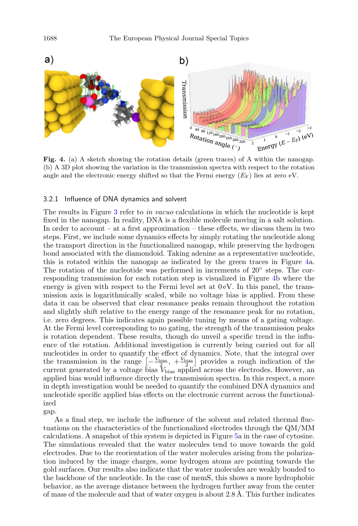

<span id="page-7-0"></span>Fig. 4. (a) A sketch showing the rotation details (green traces) of A within the nanogap. (b) A 3D plot showing the variation in the transmission spectra with respect to the rotation angle and the electronic energy shifted so that the Fermi energy  $(E_F)$  lies at zero eV.

#### 3.2.1 Influence of DNA dynamics and solvent

The results in Figure [3](#page-6-0) refer to *in vacuo* calculations in which the nucleotide is kept fixed in the nanogap. In reality, DNA is a flexible molecule moving in a salt solution. In order to account – at a first approximation – these effects, we discuss them in two steps. First, we include some dynamics effects by simply rotating the nucleotide along the transport direction in the functionalized nanogap, while preserving the hydrogen bond associated with the diamondoid. Taking adenine as a representative nucleotide, this is rotated within the nanogap as indicated by the green traces in Figure [4a](#page-7-0). The rotation of the nucleotide was performed in increments of 20° steps. The corresponding transmission for each rotation step is visualized in Figure [4b](#page-7-0) where the energy is given with respect to the Fermi level set at 0 eV. In this panel, the transmission axis is logarithmically scaled, while no voltage bias is applied. From these data it can be observed that clear resonance peaks remain throughout the rotation and slightly shift relative to the energy range of the resonance peak for no rotation, i.e. zero degrees. This indicates again possible tuning by means of a gating voltage. At the Fermi level corresponding to no gating, the strength of the transmission peaks is rotation dependent. These results, though do unveil a specific trend in the influence of the rotation. Additional investigation is currently being carried out for all nucleotides in order to quantify the effect of dynamics. Note, that the integral over the transmission in the range  $\left[-\frac{V_{bias}}{2}, +\frac{V_{bias}}{2}\right]$  provides a rough indication of the current generated by a voltage bias  $V_{\text{bias}}$  applied across the electrodes. However, an applied bias would influence directly the transmission spectra. In this respect, a more in depth investigation would be needed to quantify the combined DNA dynamics and nucleotide specific applied bias effects on the electronic current across the functionalized

gap.

As a final step, we include the influence of the solvent and related thermal fluctuations on the characteristics of the functionalized electrodes through the QM/MM calculations. A snapshot of this system is depicted in Figure [5a](#page-8-0) in the case of cytosine. The simulations revealed that the water molecules tend to move towards the gold electrodes. Due to the reorientation of the water molecules arising from the polarization induced by the image charges, some hydrogen atoms are pointing towards the gold surfaces. Our results also indicate that the water molecules are weakly bonded to the backbone of the nucleotide. In the case of memS, this shows a more hydrophobic behavior, as the average distance between the hydrogen further away from the center of mass of the molecule and that of water oxygen is about  $2.8 \text{ A}$ . This further indicates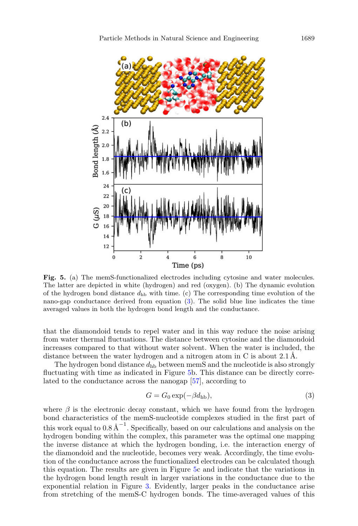

<span id="page-8-0"></span>Fig. 5. (a) The memS-functionalized electrodes including cytosine and water molecules. The latter are depicted in white (hydrogen) and red (oxygen). (b) The dynamic evolution of the hydrogen bond distance  $d_{hb}$  with time. (c) The corresponding time evolution of the nano-gap conductance derived from equation [\(3\)](#page-8-1). The solid blue line indicates the time averaged values in both the hydrogen bond length and the conductance.

that the diamondoid tends to repel water and in this way reduce the noise arising from water thermal fluctuations. The distance between cytosine and the diamondoid increases compared to that without water solvent. When the water is included, the distance between the water hydrogen and a nitrogen atom in C is about  $2.1 \text{ Å}$ .

The hydrogen bond distance  $d_{hb}$  between memS and the nucleotide is also strongly fluctuating with time as indicated in Figure [5b](#page-8-0). This distance can be directly correlated to the conductance across the nanogap [\[57\]](#page-11-33), according to

<span id="page-8-1"></span>
$$
G = G_0 \exp(-\beta d_{\rm hb}),\tag{3}
$$

where  $\beta$  is the electronic decay constant, which we have found from the hydrogen bond characteristics of the memS-nucleotide complexes studied in the first part of this work equal to  $0.8 \text{ Å}^{-1}$ . Specifically, based on our calculations and analysis on the hydrogen bonding within the complex, this parameter was the optimal one mapping the inverse distance at which the hydrogen bonding, i.e. the interaction energy of the diamondoid and the nucleotide, becomes very weak. Accordingly, the time evolution of the conductance across the functionalized electrodes can be calculated though this equation. The results are given in Figure [5c](#page-8-0) and indicate that the variations in the hydrogen bond length result in larger variations in the conductance due to the exponential relation in Figure [3.](#page-8-1) Evidently, larger peaks in the conductance arise from stretching of the memS-C hydrogen bonds. The time-averaged values of this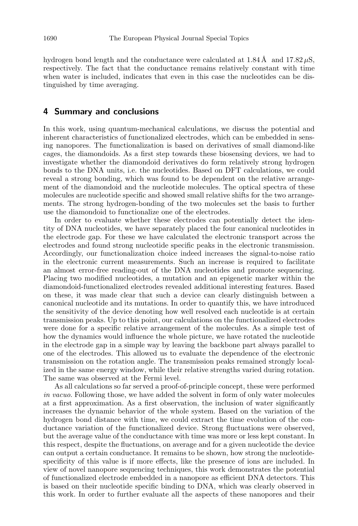hydrogen bond length and the conductance were calculated at  $1.84 \text{ Å}$  and  $17.82 \,\mu\text{S}$ , respectively. The fact that the conductance remains relatively constant with time when water is included, indicates that even in this case the nucleotides can be distinguished by time averaging.

### <span id="page-9-0"></span>4 Summary and conclusions

In this work, using quantum-mechanical calculations, we discuss the potential and inherent characteristics of functionalized electrodes, which can be embedded in sensing nanopores. The functionalization is based on derivatives of small diamond-like cages, the diamondoids. As a first step towards these biosensing devices, we had to investigate whether the diamondoid derivatives do form relatively strong hydrogen bonds to the DNA units, i.e. the nucleotides. Based on DFT calculations, we could reveal a strong bonding, which was found to be dependent on the relative arrangement of the diamondoid and the nucleotide molecules. The optical spectra of these molecules are nucleotide specific and showed small relative shifts for the two arrangements. The strong hydrogen-bonding of the two molecules set the basis to further use the diamondoid to functionalize one of the electrodes.

In order to evaluate whether these electrodes can potentially detect the identity of DNA nucleotides, we have separately placed the four canonical nucleotides in the electrode gap. For these we have calculated the electronic transport across the electrodes and found strong nucleotide specific peaks in the electronic transmission. Accordingly, our functionalization choice indeed increases the signal-to-noise ratio in the electronic current measurements. Such an increase is required to facilitate an almost error-free reading-out of the DNA nucleotides and promote sequencing. Placing two modified nucleotides, a mutation and an epigenetic marker within the diamondoid-functionalized electrodes revealed additional interesting features. Based on these, it was made clear that such a device can clearly distinguish between a canonical nucleotide and its mutations. In order to quantify this, we have introduced the sensitivity of the device denoting how well resolved each nucleotide is at certain transmission peaks. Up to this point, our calculations on the functionalized electrodes were done for a specific relative arrangement of the molecules. As a simple test of how the dynamics would influence the whole picture, we have rotated the nucleotide in the electrode gap in a simple way by leaving the backbone part always parallel to one of the electrodes. This allowed us to evaluate the dependence of the electronic transmission on the rotation angle. The transmission peaks remained strongly localized in the same energy window, while their relative strengths varied during rotation. The same was observed at the Fermi level.

As all calculations so far served a proof-of-principle concept, these were performed in vacuo. Following those, we have added the solvent in form of only water molecules at a first approximation. As a first observation, the inclusion of water significantly increases the dynamic behavior of the whole system. Based on the variation of the hydrogen bond distance with time, we could extract the time evolution of the conductance variation of the functionalized device. Strong fluctuations were observed, but the average value of the conductance with time was more or less kept constant. In this respect, despite the fluctuations, on average and for a given nucleotide the device can output a certain conductance. It remains to be shown, how strong the nucleotidespecificity of this value is if more effects, like the presence of ions are included. In view of novel nanopore sequencing techniques, this work demonstrates the potential of functionalized electrode embedded in a nanopore as efficient DNA detectors. This is based on their nucleotide specific binding to DNA, which was clearly observed in this work. In order to further evaluate all the aspects of these nanopores and their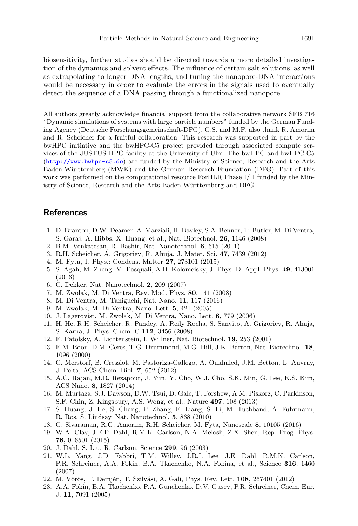biosensitivity, further studies should be directed towards a more detailed investigation of the dynamics and solvent effects. The influence of certain salt solutions, as well as extrapolating to longer DNA lengths, and tuning the nanopore-DNA interactions would be necessary in order to evaluate the errors in the signals used to eventually detect the sequence of a DNA passing through a functionalized nanopore.

All authors greatly acknowledge financial support from the collaborative network SFB 716 "Dynamic simulations of systems with large particle numbers" funded by the German Funding Agency (Deutsche Forschungsgemeinschaft-DFG). G.S. and M.F. also thank R. Amorim and R. Scheicher for a fruitful collaboration. This research was supported in part by the bwHPC initiative and the bwHPC-C5 project provided through associated compute services of the JUSTUS HPC facility at the University of Ulm. The bwHPC and bwHPC-C5 (<http://www.bwhpc-c5.de>) are funded by the Ministry of Science, Research and the Arts Baden-Württemberg (MWK) and the German Research Foundation (DFG). Part of this work was performed on the computational resource ForHLR Phase I/II funded by the Ministry of Science, Research and the Arts Baden-Württemberg and DFG.

## References

- <span id="page-10-0"></span>1. D. Branton, D.W. Deamer, A. Marziali, H. Bayley, S.A. Benner, T. Butler, M. Di Ventra, S. Garaj, A. Hibbs, X. Huang, et al., Nat. Biotechnol. 26, 1146 (2008)
- 2. B.M. Venkatesan, R. Bashir, Nat. Nanotechnol. 6, 615 (2011)
- 3. R.H. Scheicher, A. Grigoriev, R. Ahuja, J. Mater. Sci. 47, 7439 (2012)
- 4. M. Fyta, J. Phys.: Condens. Matter 27, 273101 (2015)
- <span id="page-10-1"></span>5. S. Agah, M. Zheng, M. Pasquali, A.B. Kolomeisky, J. Phys. D: Appl. Phys. 49, 413001 (2016)
- <span id="page-10-2"></span>6. C. Dekker, Nat. Nanotechnol. 2, 209 (2007)
- <span id="page-10-3"></span>7. M. Zwolak, M. Di Ventra, Rev. Mod. Phys. 80, 141 (2008)
- <span id="page-10-4"></span>8. M. Di Ventra, M. Taniguchi, Nat. Nano. 11, 117 (2016)
- <span id="page-10-5"></span>9. M. Zwolak, M. Di Ventra, Nano. Lett. 5, 421 (2005)
- <span id="page-10-6"></span>10. J. Lagerqvist, M. Zwolak, M. Di Ventra, Nano. Lett. 6, 779 (2006)
- <span id="page-10-7"></span>11. H. He, R.H. Scheicher, R. Pandey, A. Reily Rocha, S. Sanvito, A. Grigoriev, R. Ahuja, S. Karna, J. Phys. Chem. C 112, 3456 (2008)
- <span id="page-10-8"></span>12. F. Patolsky, A. Lichtenstein, I. Willner, Nat. Biotechnol. 19, 253 (2001)
- 13. E.M. Boon, D.M. Ceres, T.G. Drummond, M.G. Hill, J.K. Barton, Nat. Biotechnol. 18, 1096 (2000)
- 14. C. Merstorf, B. Cressiot, M. Pastoriza-Gallego, A. Oukhaled, J.M. Betton, L. Auvray, J. Pelta, ACS Chem. Biol. 7, 652 (2012)
- <span id="page-10-9"></span>15. A.C. Rajan, M.R. Rezapour, J. Yun, Y. Cho, W.J. Cho, S.K. Min, G. Lee, K.S. Kim, ACS Nano. 8, 1827 (2014)
- <span id="page-10-10"></span>16. M. Murtaza, S.J. Dawson, D.W. Tsui, D. Gale, T. Forshew, A.M. Piskorz, C. Parkinson, S.F. Chin, Z. Kingsbury, A.S. Wong, et al., Nature 497, 108 (2013)
- <span id="page-10-11"></span>17. S. Huang, J. He, S. Chang, P. Zhang, F. Liang, S. Li, M. Tuchband, A. Fuhrmann, R. Ros, S. Lindsay, Nat. Nanotechnol. 5, 868 (2010)
- <span id="page-10-12"></span>18. G. Sivaraman, R.G. Amorim, R.H. Scheicher, M. Fyta, Nanoscale 8, 10105 (2016)
- <span id="page-10-13"></span>19. W.A. Clay, J.E.P. Dahl, R.M.K. Carlson, N.A. Melosh, Z.X. Shen, Rep. Prog. Phys. 78, 016501 (2015)
- 20. J. Dahl, S. Liu, R. Carlson, Science 299, 96 (2003)
- 21. W.L. Yang, J.D. Fabbri, T.M. Willey, J.R.I. Lee, J.E. Dahl, R.M.K. Carlson, P.R. Schreiner, A.A. Fokin, B.A. Tkachenko, N.A. Fokina, et al., Science 316, 1460 (2007)
- 22. M. Vörös, T. Demjén, T. Szilvási, A. Gali, Phys. Rev. Lett. 108, 267401 (2012)
- 23. A.A. Fokin, B.A. Tkachenko, P.A. Gunchenko, D.V. Gusev, P.R. Schreiner, Chem. Eur. J. 11, 7091 (2005)